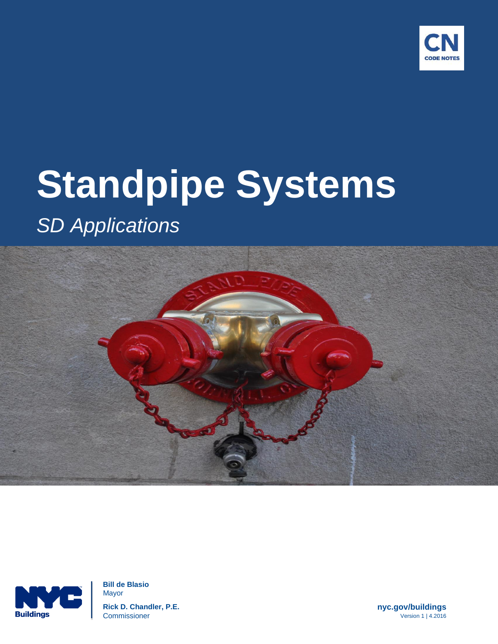

# **Standpipe Systems**

# *SD Applications*





 **Bill de Blasio** Mayor  **Rick D. Chandler, P.E. nyc.gov/buildings Commissioner** Version 1 | 4.2016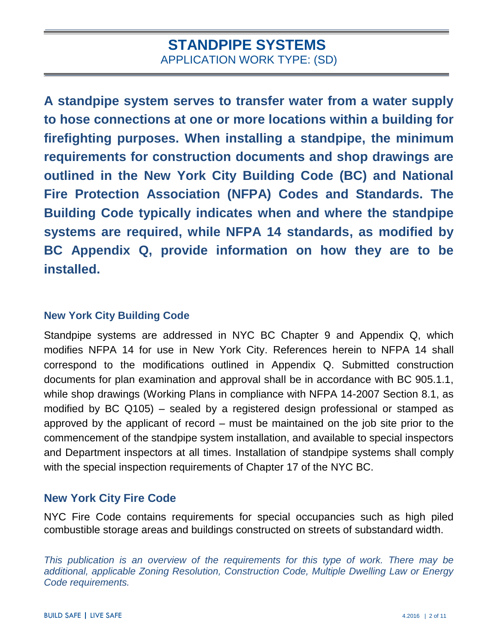**A standpipe system serves to transfer water from a water supply to hose connections at one or more locations within a building for firefighting purposes. When installing a standpipe, the minimum requirements for construction documents and shop drawings are outlined in the New York City Building Code (BC) and National Fire Protection Association (NFPA) Codes and Standards. The Building Code typically indicates when and where the standpipe systems are required, while NFPA 14 standards, as modified by BC Appendix Q, provide information on how they are to be installed.** 

#### **New York City Building Code**

Standpipe systems are addressed in NYC BC Chapter 9 and Appendix Q, which modifies NFPA 14 for use in New York City. References herein to NFPA 14 shall correspond to the modifications outlined in Appendix Q. Submitted construction documents for plan examination and approval shall be in accordance with BC 905.1.1, while shop drawings (Working Plans in compliance with NFPA 14-2007 Section 8.1, as modified by BC Q105) – sealed by a registered design professional or stamped as approved by the applicant of record – must be maintained on the job site prior to the commencement of the standpipe system installation, and available to special inspectors and Department inspectors at all times. Installation of standpipe systems shall comply with the special inspection requirements of [Chapter 17](javascript:Next() of the NYC BC.

#### **New York City Fire Code**

NYC Fire Code contains requirements for special occupancies such as high piled combustible storage areas and buildings constructed on streets of substandard width.

*This publication is an overview of the requirements for this type of work. There may be additional, applicable Zoning Resolution, Construction Code, Multiple Dwelling Law or Energy Code requirements.*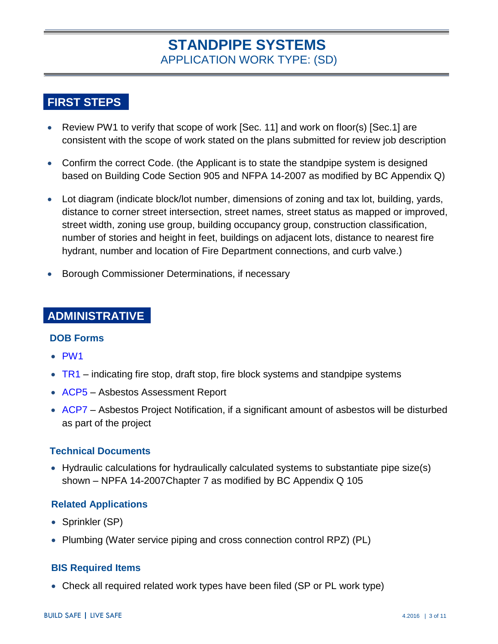# **FIRST STEPS**

- Review PW1 to verify that scope of work [Sec. 11] and work on floor(s) [Sec. 1] are consistent with the scope of work stated on the plans submitted for review job description
- Confirm the correct Code. (the Applicant is to state the standpipe system is designed based on Building Code Section 905 and NFPA 14-2007 as modified by BC Appendix Q)
- Lot diagram (indicate block/lot number, dimensions of zoning and tax lot, building, yards, distance to corner street intersection, street names, street status as mapped or improved, street width, zoning use group, building occupancy group, construction classification, number of stories and height in feet, buildings on adjacent lots, distance to nearest fire hydrant, number and location of Fire Department connections, and curb valve.)
- Borough Commissioner Determinations, if necessary

#### **ADMINISTRATIVE**

#### **DOB Forms**

- [PW1](http://www1.nyc.gov/assets/buildings/pdf/pw1_new.pdf)
- $\bullet$  [TR1](http://www1.nyc.gov/assets/buildings/pdf/tr1_2014.pdf) indicating fire stop, draft stop, fire block systems and standpipe systems
- [ACP5](http://www.nyc.gov/html/dep/html/forms_and_permits/asbestosf.shtml) Asbestos Assessment Report
- [ACP7](http://www.nyc.gov/html/dep/html/forms_and_permits/asbestosf.shtml) Asbestos Project Notification, if a significant amount of asbestos will be disturbed as part of the project

#### **Technical Documents**

• Hydraulic calculations for hydraulically calculated systems to substantiate pipe size(s) shown – NPFA 14-2007Chapter 7 as modified by BC Appendix Q 105

#### **Related Applications**

- Sprinkler (SP)
- Plumbing (Water service piping and cross connection control RPZ) (PL)

#### **BIS Required Items**

Check all required related work types have been filed (SP or PL work type)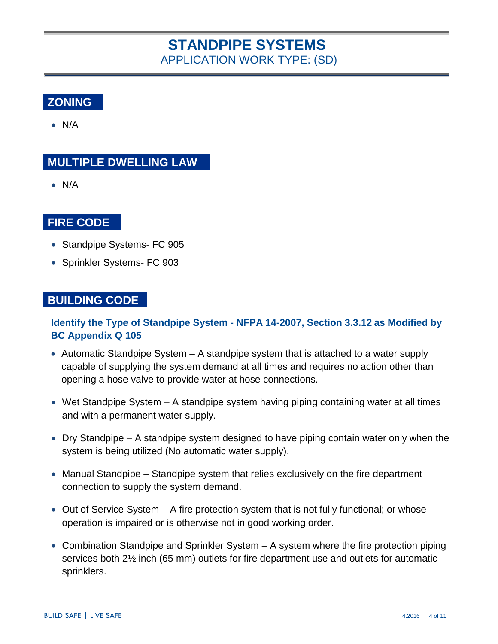# **ZONING**

 $\bullet$  N/A

### **MULTIPLE DWELLING LAW**

N/A

#### **FIRE CODE**

- Standpipe Systems- FC 905
- Sprinkler Systems- FC 903

#### **BUILDING CODE**

#### **Identify the Type of Standpipe System - NFPA 14-2007, Section 3.3.12 as Modified by BC Appendix Q 105**

- Automatic Standpipe System A standpipe system that is attached to a water supply capable of supplying the system demand at all times and requires no action other than opening a hose valve to provide water at hose connections.
- Wet Standpipe System A standpipe system having piping containing water at all times and with a permanent water supply.
- Dry Standpipe A standpipe system designed to have piping contain water only when the system is being utilized (No automatic water supply).
- Manual Standpipe Standpipe system that relies exclusively on the fire department connection to supply the system demand.
- $\bullet$  Out of Service System  $-$  A fire protection system that is not fully functional; or whose operation is impaired or is otherwise not in good working order.
- Combination Standpipe and Sprinkler System A system where the fire protection piping services both 2½ inch (65 mm) outlets for fire department use and outlets for automatic sprinklers.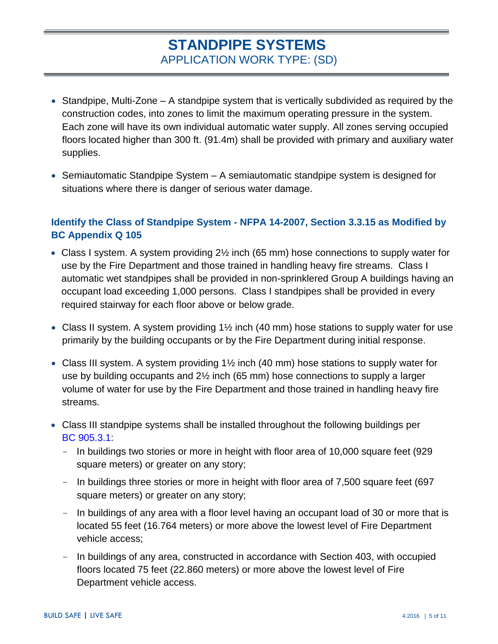- $\bullet$  Standpipe, Multi-Zone  $-$  A standpipe system that is vertically subdivided as required by the construction codes, into zones to limit the maximum operating pressure in the system. Each zone will have its own individual automatic water supply. All zones serving occupied floors located higher than 300 ft. (91.4m) shall be provided with primary and auxiliary water supplies.
- Semiautomatic Standpipe System A semiautomatic standpipe system is designed for situations where there is danger of serious water damage.

#### **Identify the Class of Standpipe System - NFPA 14-2007, Section 3.3.15 as Modified by BC Appendix Q 105**

- Class I system. A system providing 2½ inch (65 mm) hose connections to supply water for use by the Fire Department and those trained in handling heavy fire streams. Class I automatic wet standpipes shall be provided in non-sprinklered Group A buildings having an occupant load exceeding 1,000 persons. Class I standpipes shall be provided in every required stairway for each floor above or below grade.
- Class II system. A system providing 1<sup>1/2</sup> inch (40 mm) hose stations to supply water for use primarily by the building occupants or by the Fire Department during initial response.
- Class III system. A system providing  $1\frac{1}{2}$  inch (40 mm) hose stations to supply water for use by building occupants and 2½ inch (65 mm) hose connections to supply a larger volume of water for use by the Fire Department and those trained in handling heavy fire streams.
- Class III standpipe systems shall be installed throughout the following buildings per [BC 905.3.1:](http://www1.nyc.gov/assets/buildings/apps/pdf_viewer/viewer.html?file=2014CC_BC_Chapter_9_Fire_Protection_Systems.pdf§ion=conscode_2014#nameddest=SECTION_905)
	- In buildings two stories or more in height with floor area of 10,000 square feet (929 square meters) or greater on any story;
	- In buildings three stories or more in height with floor area of 7,500 square feet (697) square meters) or greater on any story;
	- In buildings of any area with a floor level having an occupant load of 30 or more that is located 55 feet (16.764 meters) or more above the lowest level of Fire Department vehicle access;
	- In buildings of any area, constructed in accordance with [Section 403,](javascript:Next() with occupied floors located 75 feet (22.860 meters) or more above the lowest level of Fire Department vehicle access.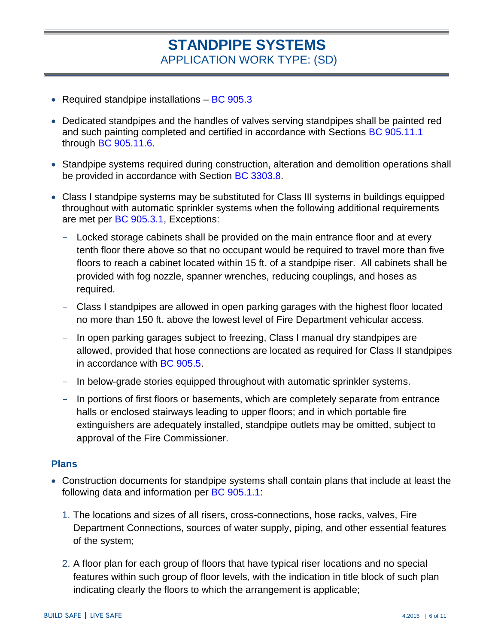- Required standpipe installations  $-$  [BC 905.3](http://www1.nyc.gov/assets/buildings/apps/pdf_viewer/viewer.html?file=2014CC_BC_Chapter_9_Fire_Protection_Systems.pdf§ion=conscode_2014#nameddest=SECTION_905)
- Dedicated standpipes and the handles of valves serving standpipes shall be painted red and such painting completed and certified in accordance with Sections BC [905.11.1](http://www1.nyc.gov/assets/buildings/apps/pdf_viewer/viewer.html?file=2014CC_BC_Chapter_9_Fire_Protection_Systems.pdf§ion=conscode_2014#nameddest=SECTION_905) through [BC 905.11.6.](http://www1.nyc.gov/assets/buildings/apps/pdf_viewer/viewer.html?file=2014CC_BC_Chapter_9_Fire_Protection_Systems.pdf§ion=conscode_2014#nameddest=SECTION_905)
- Standpipe systems required during construction, alteration and demolition operations shall be provided in accordance with Section [BC 3303.8.](http://www1.nyc.gov/assets/buildings/apps/pdf_viewer/viewer.html?file=2014CC_BC_Chapter_33_Safeguards_During_Construction_or_Demo.pdf§ion=conscode_2014#nameddest=SECTION_3303)
- Class I standpipe systems may be substituted for Class III systems in buildings equipped throughout with automatic sprinkler systems when the following additional requirements are met per [BC 905.3.1,](http://www1.nyc.gov/assets/buildings/apps/pdf_viewer/viewer.html?file=2014CC_BC_Chapter_9_Fire_Protection_Systems.pdf§ion=conscode_2014#nameddest=SECTION_905) Exceptions:
	- Locked storage cabinets shall be provided on the main entrance floor and at every tenth floor there above so that no occupant would be required to travel more than five floors to reach a cabinet located within 15 ft. of a standpipe riser. All cabinets shall be provided with fog nozzle, spanner wrenches, reducing couplings, and hoses as required.
	- Class I standpipes are allowed in open parking garages with the highest floor located no more than 150 ft. above the lowest level of Fire Department vehicular access.
	- In open parking garages subject to freezing, Class I manual dry standpipes are allowed, provided that hose connections are located as required for Class II standpipes in accordance with [BC 905.5.](http://www1.nyc.gov/assets/buildings/apps/pdf_viewer/viewer.html?file=2014CC_BC_Chapter_9_Fire_Protection_Systems.pdf§ion=conscode_2014#nameddest=SECTION_905)
	- In below-grade stories equipped throughout with automatic sprinkler systems.
	- In portions of first floors or basements, which are completely separate from entrance halls or enclosed stairways leading to upper floors; and in which portable fire extinguishers are adequately installed, standpipe outlets may be omitted, subject to approval of the Fire Commissioner.

#### **Plans**

- Construction documents for standpipe systems shall contain plans that include at least the following data and information per [BC 905.1.1:](http://www1.nyc.gov/assets/buildings/apps/pdf_viewer/viewer.html?file=2014CC_BC_Chapter_9_Fire_Protection_Systems.pdf§ion=conscode_2014#nameddest=SECTION_905)
	- 1. The locations and sizes of all risers, cross-connections, hose racks, valves, Fire Department Connections, sources of water supply, piping, and other essential features of the system;
	- 2. A floor plan for each group of floors that have typical riser locations and no special features within such group of floor levels, with the indication in title block of such plan indicating clearly the floors to which the arrangement is applicable;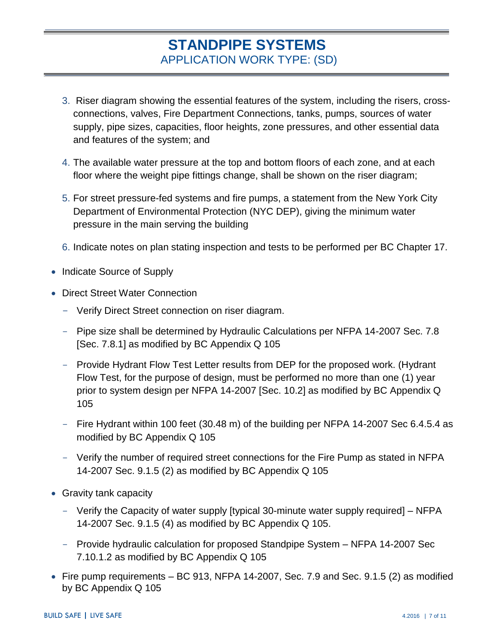- 3. Riser diagram showing the essential features of the system, including the risers, crossconnections, valves, Fire Department Connections, tanks, pumps, sources of water supply, pipe sizes, capacities, floor heights, zone pressures, and other essential data and features of the system; and
- 4. The available water pressure at the top and bottom floors of each zone, and at each floor where the weight pipe fittings change, shall be shown on the riser diagram;
- 5. For street pressure-fed systems and fire pumps, a statement from the New York City Department of Environmental Protection (NYC DEP), giving the minimum water pressure in the main serving the building
- 6. Indicate notes on plan stating inspection and tests to be performed per BC Chapter 17.
- Indicate Source of Supply
- Direct Street Water Connection
	- Verify Direct Street connection on riser diagram.
	- Pipe size shall be determined by Hydraulic Calculations per NFPA 14-2007 Sec. 7.8 [Sec. 7.8.1] as modified by BC Appendix Q 105
	- Provide Hydrant Flow Test Letter results from DEP for the proposed work. (Hydrant Flow Test, for the purpose of design, must be performed no more than one (1) year prior to system design per NFPA 14-2007 [Sec. 10.2] as modified by BC Appendix Q 105
	- Fire Hydrant within 100 feet (30.48 m) of the building per NFPA 14-2007 Sec 6.4.5.4 as modified by BC Appendix Q 105
	- Verify the number of required street connections for the Fire Pump as stated in NFPA 14-2007 Sec. 9.1.5 (2) as modified by BC Appendix Q 105
- Gravity tank capacity
	- Verify the Capacity of water supply [typical 30-minute water supply required] NFPA 14-2007 Sec. 9.1.5 (4) as modified by BC Appendix Q 105.
	- Provide hydraulic calculation for proposed Standpipe System NFPA 14-2007 Sec 7.10.1.2 as modified by BC Appendix Q 105
- Fire pump requirements  $-$  BC 913, NFPA 14-2007, Sec. 7.9 and Sec. 9.1.5 (2) as modified by BC Appendix Q 105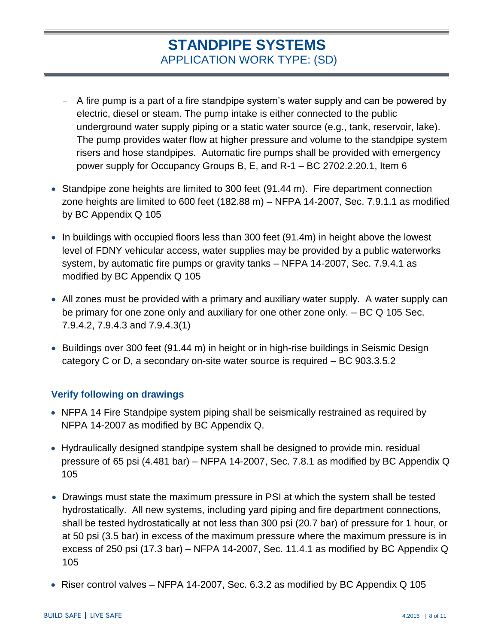- A fire pump is a part of a fire standpipe system's water supply and can be powered by electric, diesel or steam. The pump intake is either connected to the public underground water supply piping or a static water source (e.g., tank, reservoir, lake). The pump provides water flow at higher pressure and volume to the standpipe system risers and hose standpipes. Automatic fire pumps shall be provided with emergency power supply for Occupancy Groups B, E, and R-1 – BC 2702.2.20.1, Item 6
- Standpipe zone heights are limited to 300 feet  $(91.44 \text{ m})$ . Fire department connection zone heights are limited to 600 feet (182.88 m) – NFPA 14-2007, Sec. 7.9.1.1 as modified by BC Appendix Q 105
- In buildings with occupied floors less than 300 feet (91.4m) in height above the lowest level of FDNY vehicular access, water supplies may be provided by a public waterworks system, by automatic fire pumps or gravity tanks – NFPA 14-2007, Sec. 7.9.4.1 as modified by BC Appendix Q 105
- All zones must be provided with a primary and auxiliary water supply. A water supply can be primary for one zone only and auxiliary for one other zone only. – BC Q 105 Sec. 7.9.4.2, 7.9.4.3 and 7.9.4.3(1)
- Buildings over 300 feet (91.44 m) in height or in high-rise buildings in Seismic Design category C or D, a secondary on-site water source is required – BC 903.3.5.2

#### **Verify following on drawings**

- NFPA 14 Fire Standpipe system piping shall be seismically restrained as required by NFPA 14-2007 as modified by BC Appendix Q.
- Hydraulically designed standpipe system shall be designed to provide min. residual pressure of 65 psi (4.481 bar) – NFPA 14-2007, Sec. 7.8.1 as modified by BC Appendix Q 105
- Drawings must state the maximum pressure in PSI at which the system shall be tested hydrostatically. All new systems, including yard piping and fire department connections, shall be tested hydrostatically at not less than 300 psi (20.7 bar) of pressure for 1 hour, or at 50 psi (3.5 bar) in excess of the maximum pressure where the maximum pressure is in excess of 250 psi (17.3 bar) – NFPA 14-2007, Sec. 11.4.1 as modified by BC Appendix Q 105
- Riser control valves NFPA 14-2007, Sec. 6.3.2 as modified by BC Appendix Q 105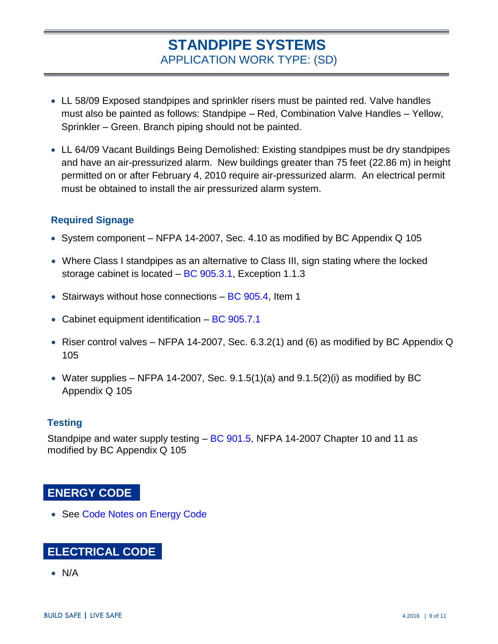- LL 58/09 Exposed standpipes and sprinkler risers must be painted red. Valve handles must also be painted as follows: Standpipe – Red, Combination Valve Handles – Yellow, Sprinkler – Green. Branch piping should not be painted.
- LL 64/09 Vacant Buildings Being Demolished: Existing standpipes must be dry standpipes and have an air-pressurized alarm. New buildings greater than 75 feet (22.86 m) in height permitted on or after February 4, 2010 require air-pressurized alarm. An electrical permit must be obtained to install the air pressurized alarm system.

#### **Required Signage**

- System component NFPA 14-2007, Sec. 4.10 as modified by BC Appendix Q 105
- Where Class I standpipes as an alternative to Class III, sign stating where the locked storage cabinet is located – [BC 905.3.1,](http://www1.nyc.gov/assets/buildings/apps/pdf_viewer/viewer.html?file=2014CC_BC_Chapter_9_Fire_Protection_Systems.pdf§ion=conscode_2014#nameddest=SECTION_905) Exception 1.1.3
- Stairways without hose connections  $BC$  905.4, Item 1
- Cabinet equipment identification  $-$  [BC 905.7.1](http://www1.nyc.gov/assets/buildings/apps/pdf_viewer/viewer.html?file=2014CC_BC_Chapter_9_Fire_Protection_Systems.pdf§ion=conscode_2014#nameddest=SECTION_905)
- Riser control valves NFPA 14-2007, Sec. 6.3.2(1) and (6) as modified by BC Appendix Q 105
- Water supplies NFPA 14-2007, Sec. 9.1.5(1)(a) and 9.1.5(2)(i) as modified by BC Appendix Q 105

#### **Testing**

Standpipe and water supply testing – [BC 901.5,](http://www1.nyc.gov/assets/buildings/apps/pdf_viewer/viewer.html?file=2014CC_BC_Chapter_9_Fire_Protection_Systems.pdf§ion=conscode_2014#nameddest=SECTION_901) NFPA 14-2007 Chapter 10 and 11 as modified by BC Appendix Q 105

#### **ENERGY CODE**

• See [Code Notes on Energy Code](http://www1.nyc.gov/site/buildings/codes/list-code-notes.page)

# **ELECTRICAL CODE**

N/A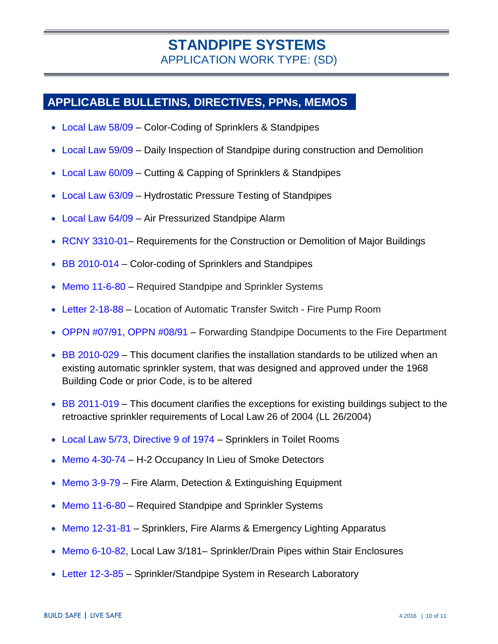## **APPLICABLE BULLETINS, DIRECTIVES, PPNs, MEMOS**

- [Local Law 58/09](http://www1.nyc.gov/assets/buildings/local_laws/ll58of2009.pdf) Color-Coding of Sprinklers & Standpipes
- [Local Law 59/09](http://www1.nyc.gov/assets/buildings/local_laws/ll59of2009.pdf) Daily Inspection of Standpipe during construction and Demolition
- [Local Law 60/09](http://www1.nyc.gov/assets/buildings/local_laws/ll60of2009.pdf) Cutting & Capping of Sprinklers & Standpipes
- [Local Law 63/09](http://www1.nyc.gov/assets/buildings/local_laws/ll63of2009.pdf) Hydrostatic Pressure Testing of Standpipes
- [Local Law 64/09](http://www1.nyc.gov/assets/buildings/local_laws/ll64of2009.pdf) Air Pressurized Standpipe Alarm
- RCNY 3310-01- Requirements for the Construction or Demolition of Major Buildings
- $\bullet$  [BB 2010-014](http://www1.nyc.gov/assets/buildings/bldgs_bulletins/bb_2010-014.pdf) Color-coding of Sprinklers and Standpipes
- [Memo 11-6-80](http://www1.nyc.gov/assets/buildings/pdf/sy5.pdf) Required Standpipe and Sprinkler Systems
- [Letter 2-18-88](http://www1.nyc.gov/assets/buildings/pdf/sza6.pdf) Location of Automatic Transfer Switch Fire Pump Room
- [OPPN #07/91,](http://www1.nyc.gov/assets/buildings/ppn/oppn791.pdf) [OPPN #08/91](http://www1.nyc.gov/assets/buildings/ppn/oppn891.pdf) Forwarding Standpipe Documents to the Fire Department
- $\bullet$  [BB 2010-029](http://www1.nyc.gov/assets/buildings/bldgs_bulletins/bb_2010-029.pdf) This document clarifies the installation standards to be utilized when an existing automatic sprinkler system, that was designed and approved under the 1968 Building Code or prior Code, is to be altered
- [BB 2011-019](http://www1.nyc.gov/assets/buildings/bldgs_bulletins/bb_2011-019.pdf) This document clarifies the exceptions for existing buildings subject to the retroactive sprinkler requirements of Local Law 26 of 2004 (LL 26/2004)
- [Local Law 5/73,](http://www1.nyc.gov/assets/buildings/local_laws/ll_0573.pdf) [Directive 9 of 1974](http://www1.nyc.gov/assets/buildings/pdf/fp3.pdf) Sprinklers in Toilet Rooms
- [Memo 4-30-74](http://www1.nyc.gov/assets/buildings/pdf/fp7.pdf) H-2 Occupancy In Lieu of Smoke Detectors
- [Memo 3-9-79](http://www1.nyc.gov/assets/buildings/pdf/fp8.pdf) Fire Alarm, Detection & Extinguishing Equipment
- [Memo 11-6-80](http://www1.nyc.gov/assets/buildings/pdf/sy5.pdf) Required Standpipe and Sprinkler Systems
- [Memo 12-31-81](http://www1.nyc.gov/assets/buildings/pdf/fp910.pdf) Sprinklers, Fire Alarms & Emergency Lighting Apparatus
- [Memo 6-10-82,](http://www1.nyc.gov/assets/buildings/pdf/sy7.pdf) Local Law 3/181– Sprinkler/Drain Pipes within Stair Enclosures
- [Letter 12-3-85](http://www1.nyc.gov/assets/buildings/pdf/sy8.pdf) Sprinkler/Standpipe System in Research Laboratory